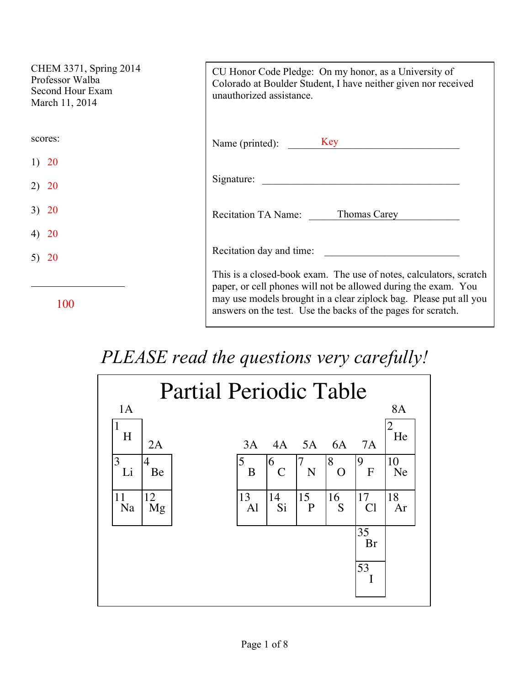| CHEM 3371, Spring 2014<br>Professor Walba<br>Second Hour Exam<br>March 11, 2014 | CU Honor Code Pledge: On my honor, as a University of<br>Colorado at Boulder Student, I have neither given nor received<br>unauthorized assistance.                                                                                                                       |
|---------------------------------------------------------------------------------|---------------------------------------------------------------------------------------------------------------------------------------------------------------------------------------------------------------------------------------------------------------------------|
| scores:                                                                         | Name (printed): Key                                                                                                                                                                                                                                                       |
| <b>20</b><br>1)                                                                 |                                                                                                                                                                                                                                                                           |
| <b>20</b>                                                                       | Signature:                                                                                                                                                                                                                                                                |
| 3) 20                                                                           | Thomas Carey<br><b>Recitation TA Name:</b>                                                                                                                                                                                                                                |
| <b>20</b>                                                                       |                                                                                                                                                                                                                                                                           |
| 5) $20$                                                                         | Recitation day and time:                                                                                                                                                                                                                                                  |
| 100                                                                             | This is a closed-book exam. The use of notes, calculators, scratch<br>paper, or cell phones will not be allowed during the exam. You<br>may use models brought in a clear ziplock bag. Please put all you<br>answers on the test. Use the backs of the pages for scratch. |

## *PLEASE read the questions very carefully!*

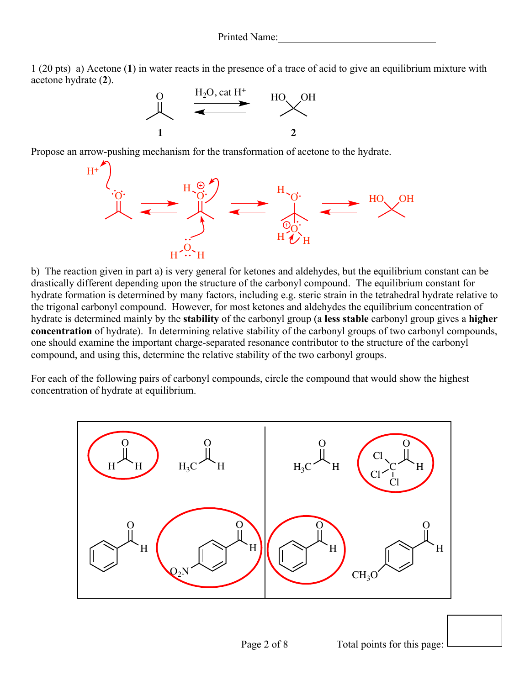1 (20 pts) a) Acetone (**1**) in water reacts in the presence of a trace of acid to give an equilibrium mixture with acetone hydrate (**2**).



Propose an arrow-pushing mechanism for the transformation of acetone to the hydrate.



b) The reaction given in part a) is very general for ketones and aldehydes, but the equilibrium constant can be drastically different depending upon the structure of the carbonyl compound. The equilibrium constant for hydrate formation is determined by many factors, including e.g. steric strain in the tetrahedral hydrate relative to the trigonal carbonyl compound. However, for most ketones and aldehydes the equilibrium concentration of hydrate is determined mainly by the **stability** of the carbonyl group (a **less stable** carbonyl group gives a **higher concentration** of hydrate). In determining relative stability of the carbonyl groups of two carbonyl compounds, one should examine the important charge-separated resonance contributor to the structure of the carbonyl compound, and using this, determine the relative stability of the two carbonyl groups.

For each of the following pairs of carbonyl compounds, circle the compound that would show the highest concentration of hydrate at equilibrium.

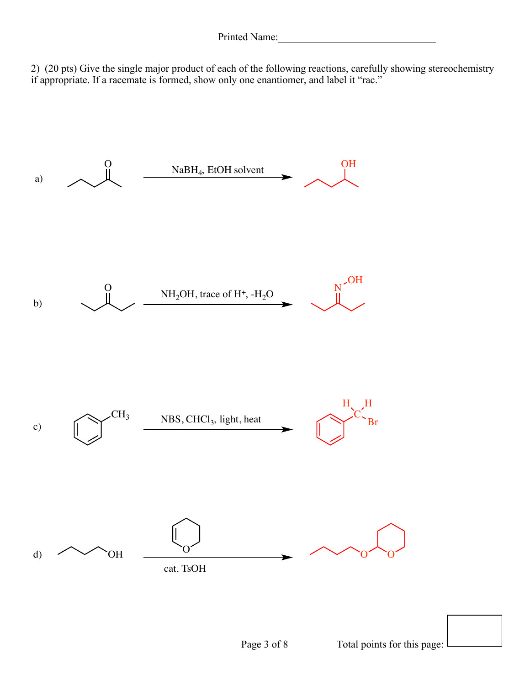2) (20 pts) Give the single major product of each of the following reactions, carefully showing stereochemistry if appropriate. If a racemate is formed, show only one enantiomer, and label it "rac."

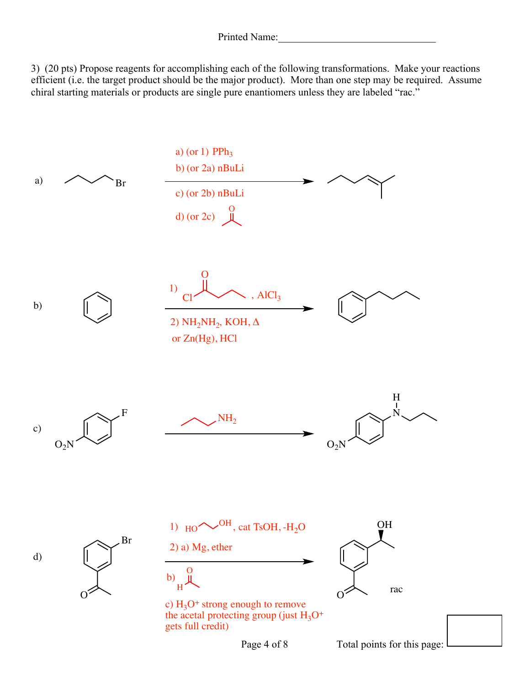3) (20 pts) Propose reagents for accomplishing each of the following transformations. Make your reactions efficient (i.e. the target product should be the major product). More than one step may be required. Assume chiral starting materials or products are single pure enantiomers unless they are labeled "rac."



Page 4 of 8 Total points for this page: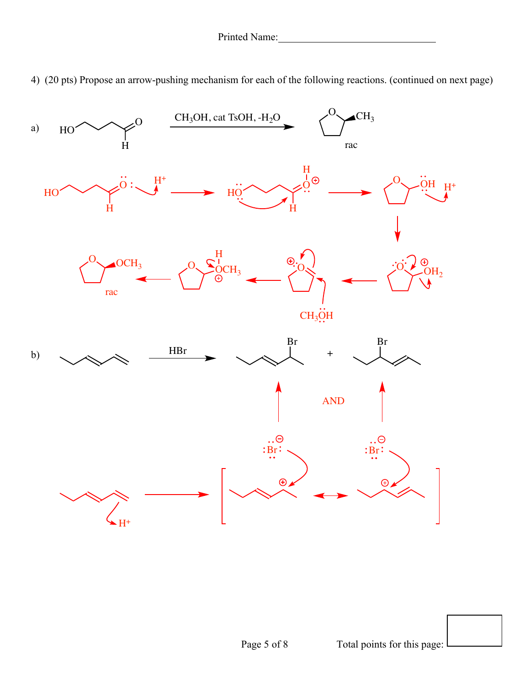4) (20 pts) Propose an arrow-pushing mechanism for each of the following reactions. (continued on next page)

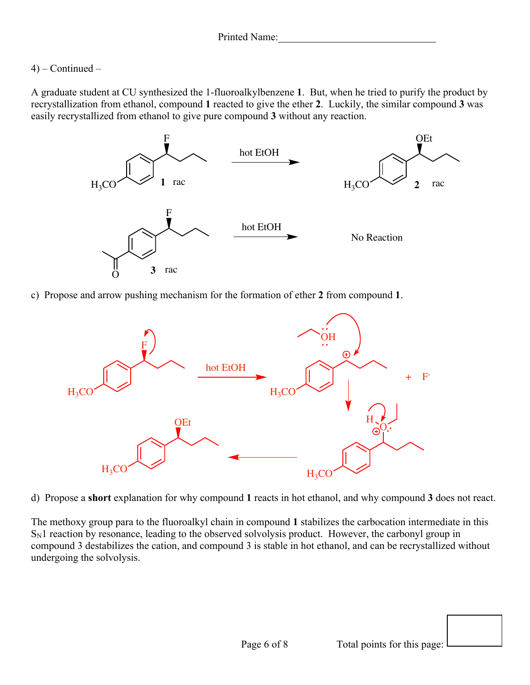## 4) – Continued –

A graduate student at CU synthesized the 1-fluoroalkylbenzene **1**. But, when he tried to purify the product by recrystallization from ethanol, compound **1** reacted to give the ether **2**. Luckily, the similar compound **3** was easily recrystallized from ethanol to give pure compound **3** without any reaction.



c) Propose and arrow pushing mechanism for the formation of ether **2** from compound **1**.



d) Propose a **short** explanation for why compound **1** reacts in hot ethanol, and why compound **3** does not react.

The methoxy group para to the fluoroalkyl chain in compound **1** stabilizes the carbocation intermediate in this  $S_N1$  reaction by resonance, leading to the observed solvolysis product. However, the carbonyl group in compound 3 destabilizes the cation, and compound 3 is stable in hot ethanol, and can be recrystallized without undergoing the solvolysis.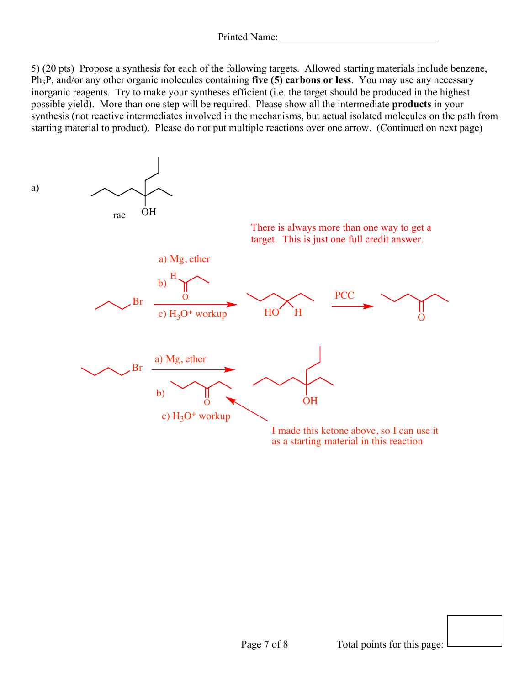5) (20 pts) Propose a synthesis for each of the following targets. Allowed starting materials include benzene, Ph3P, and/or any other organic molecules containing **five (5) carbons or less**. You may use any necessary inorganic reagents. Try to make your syntheses efficient (i.e. the target should be produced in the highest possible yield). More than one step will be required. Please show all the intermediate **products** in your synthesis (not reactive intermediates involved in the mechanisms, but actual isolated molecules on the path from starting material to product). Please do not put multiple reactions over one arrow. (Continued on next page)